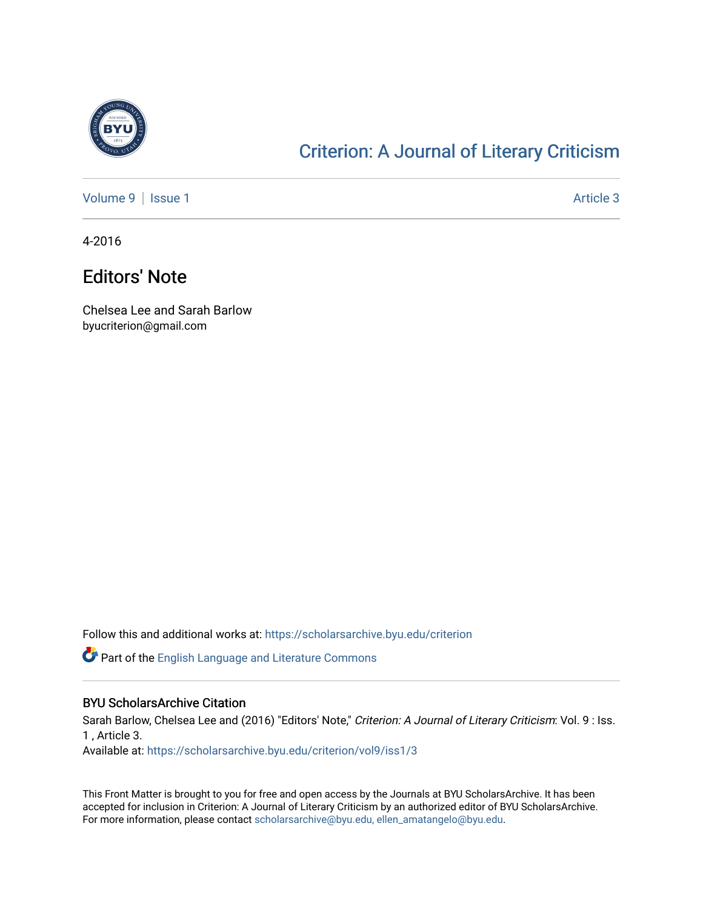

## [Criterion: A Journal of Literary Criticism](https://scholarsarchive.byu.edu/criterion)

[Volume 9](https://scholarsarchive.byu.edu/criterion/vol9) | [Issue 1](https://scholarsarchive.byu.edu/criterion/vol9/iss1) Article 3

4-2016

## Editors' Note

Chelsea Lee and Sarah Barlow byucriterion@gmail.com

Follow this and additional works at: [https://scholarsarchive.byu.edu/criterion](https://scholarsarchive.byu.edu/criterion?utm_source=scholarsarchive.byu.edu%2Fcriterion%2Fvol9%2Fiss1%2F3&utm_medium=PDF&utm_campaign=PDFCoverPages) 

**P** Part of the [English Language and Literature Commons](http://network.bepress.com/hgg/discipline/455?utm_source=scholarsarchive.byu.edu%2Fcriterion%2Fvol9%2Fiss1%2F3&utm_medium=PDF&utm_campaign=PDFCoverPages)

## BYU ScholarsArchive Citation

Sarah Barlow, Chelsea Lee and (2016) "Editors' Note," Criterion: A Journal of Literary Criticism: Vol. 9 : Iss. 1 , Article 3.

Available at: [https://scholarsarchive.byu.edu/criterion/vol9/iss1/3](https://scholarsarchive.byu.edu/criterion/vol9/iss1/3?utm_source=scholarsarchive.byu.edu%2Fcriterion%2Fvol9%2Fiss1%2F3&utm_medium=PDF&utm_campaign=PDFCoverPages) 

This Front Matter is brought to you for free and open access by the Journals at BYU ScholarsArchive. It has been accepted for inclusion in Criterion: A Journal of Literary Criticism by an authorized editor of BYU ScholarsArchive. For more information, please contact [scholarsarchive@byu.edu, ellen\\_amatangelo@byu.edu](mailto:scholarsarchive@byu.edu,%20ellen_amatangelo@byu.edu).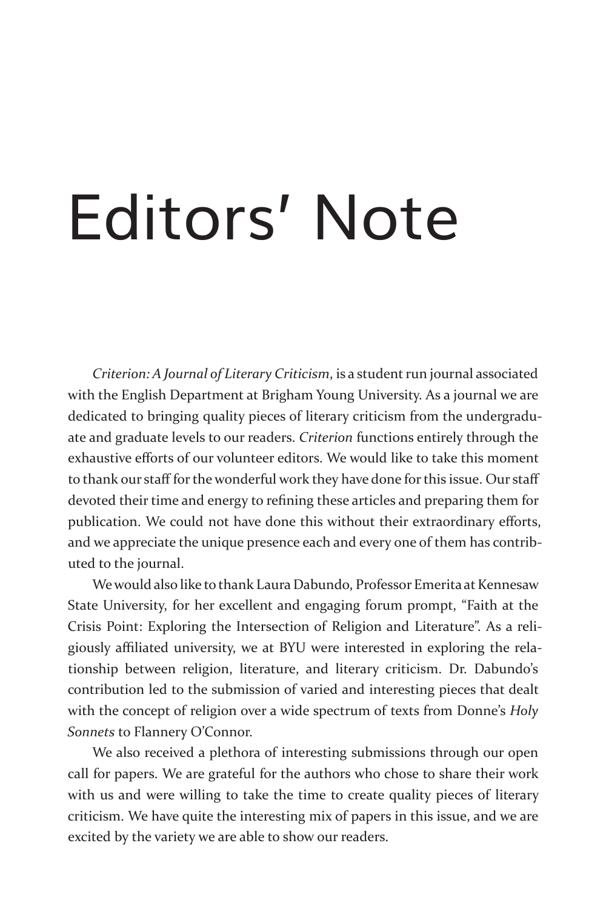## Editors' Note

*Criterion: A Journal of Literary Criticism*, is a student run journal associated with the English Department at Brigham Young University. As a journal we are dedicated to bringing quality pieces of literary criticism from the undergraduate and graduate levels to our readers. *Criterion* functions entirely through the exhaustive efforts of our volunteer editors. We would like to take this moment to thank our staff for the wonderful work they have done for this issue. Our staff devoted their time and energy to refining these articles and preparing them for publication. We could not have done this without their extraordinary efforts, and we appreciate the unique presence each and every one of them has contributed to the journal.

We would also like to thank Laura Dabundo, Professor Emerita at Kennesaw State University, for her excellent and engaging forum prompt, "Faith at the Crisis Point: Exploring the Intersection of Religion and Literature". As a religiously affiliated university, we at BYU were interested in exploring the relationship between religion, literature, and literary criticism. Dr. Dabundo's contribution led to the submission of varied and interesting pieces that dealt with the concept of religion over a wide spectrum of texts from Donne's *Holy Sonnets* to Flannery O'Connor.

We also received a plethora of interesting submissions through our open call for papers. We are grateful for the authors who chose to share their work with us and were willing to take the time to create quality pieces of literary criticism. We have quite the interesting mix of papers in this issue, and we are excited by the variety we are able to show our readers.